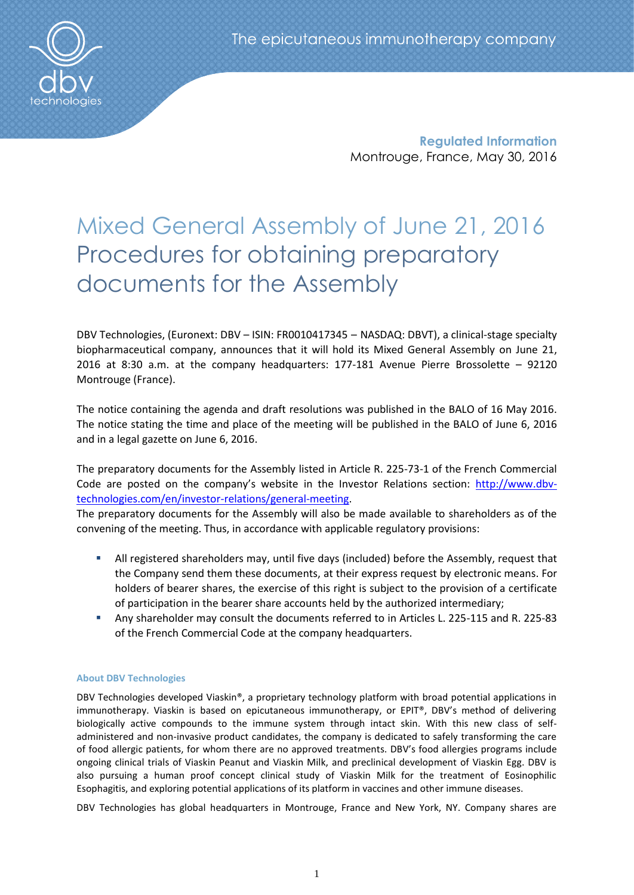**Regulated Information** Montrouge, France, May 30, 2016

# Mixed General Assembly of June 21, 2016 Procedures for obtaining preparatory documents for the Assembly

DBV Technologies, (Euronext: DBV – ISIN: FR0010417345 – NASDAQ: DBVT), a clinical-stage specialty biopharmaceutical company, announces that it will hold its Mixed General Assembly on June 21, 2016 at 8:30 a.m. at the company headquarters: 177-181 Avenue Pierre Brossolette – 92120 Montrouge (France).

The notice containing the agenda and draft resolutions was published in the BALO of 16 May 2016. The notice stating the time and place of the meeting will be published in the BALO of June 6, 2016 and in a legal gazette on June 6, 2016.

The preparatory documents for the Assembly listed in Article R. 225-73-1 of the French Commercial Code are posted on the company's website in the Investor Relations section: [http://www.dbv](http://www.dbv-technologies.com/en/investor-relations/general-meeting)[technologies.com/en/investor-relations/general-meeting.](http://www.dbv-technologies.com/en/investor-relations/general-meeting)

The preparatory documents for the Assembly will also be made available to shareholders as of the convening of the meeting. Thus, in accordance with applicable regulatory provisions:

- All registered shareholders may, until five days (included) before the Assembly, request that the Company send them these documents, at their express request by electronic means. For holders of bearer shares, the exercise of this right is subject to the provision of a certificate of participation in the bearer share accounts held by the authorized intermediary;
- Any shareholder may consult the documents referred to in Articles L. 225-115 and R. 225-83 of the French Commercial Code at the company headquarters.

# **About DBV Technologies**

DBV Technologies developed Viaskin®, a proprietary technology platform with broad potential applications in immunotherapy. Viaskin is based on epicutaneous immunotherapy, or EPIT®, DBV's method of delivering biologically active compounds to the immune system through intact skin. With this new class of selfadministered and non-invasive product candidates, the company is dedicated to safely transforming the care of food allergic patients, for whom there are no approved treatments. DBV's food allergies programs include ongoing clinical trials of Viaskin Peanut and Viaskin Milk, and preclinical development of Viaskin Egg. DBV is also pursuing a human proof concept clinical study of Viaskin Milk for the treatment of Eosinophilic Esophagitis, and exploring potential applications of its platform in vaccines and other immune diseases.

DBV Technologies has global headquarters in Montrouge, France and New York, NY. Company shares are